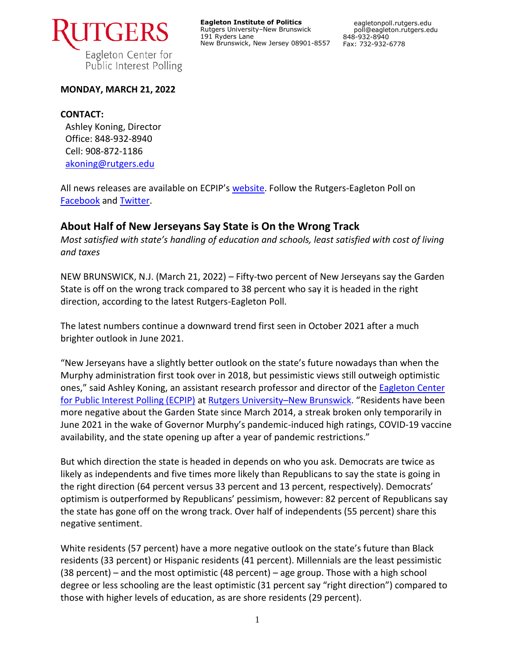

**Eagleton Institute of Politics** Rutgers University–New Brunswick 191 Ryders Lane New Brunswick, New Jersey 08901-8557

## **MONDAY, MARCH 21, 2022**

## **CONTACT:**

Ashley Koning, Director Office: 848-932-8940 Cell: 908-872-1186 [akoning@rutgers.edu](mailto:akoning@rutgers.edu)

All news releases are available on ECPIP's [website.](https://eagletonpoll.rutgers.edu/press_releases/) Follow the Rutgers-Eagleton Poll on [Facebook](https://www.facebook.com/RutgersEagletonPoll) and [Twitter.](https://twitter.com/EagletonPoll)

# **About Half of New Jerseyans Say State is On the Wrong Track**

*Most satisfied with state's handling of education and schools, least satisfied with cost of living and taxes*

NEW BRUNSWICK, N.J. (March 21, 2022) – Fifty-two percent of New Jerseyans say the Garden State is off on the wrong track compared to 38 percent who say it is headed in the right direction, according to the latest Rutgers-Eagleton Poll.

The latest numbers continue a downward trend first seen in October 2021 after a much brighter outlook in June 2021.

"New Jerseyans have a slightly better outlook on the state's future nowadays than when the Murphy administration first took over in 2018, but pessimistic views still outweigh optimistic ones," said Ashley Koning, an assistant research professor and director of the Eagleton Center [for Public Interest Polling \(ECPIP\)](http://eagletonpoll.rutgers.edu/) at [Rutgers University](https://newbrunswick.rutgers.edu/)–New Brunswick. "Residents have been more negative about the Garden State since March 2014, a streak broken only temporarily in June 2021 in the wake of Governor Murphy's pandemic-induced high ratings, COVID-19 vaccine availability, and the state opening up after a year of pandemic restrictions."

But which direction the state is headed in depends on who you ask. Democrats are twice as likely as independents and five times more likely than Republicans to say the state is going in the right direction (64 percent versus 33 percent and 13 percent, respectively). Democrats' optimism is outperformed by Republicans' pessimism, however: 82 percent of Republicans say the state has gone off on the wrong track. Over half of independents (55 percent) share this negative sentiment.

White residents (57 percent) have a more negative outlook on the state's future than Black residents (33 percent) or Hispanic residents (41 percent). Millennials are the least pessimistic (38 percent) – and the most optimistic (48 percent) – age group. Those with a high school degree or less schooling are the least optimistic (31 percent say "right direction") compared to those with higher levels of education, as are shore residents (29 percent).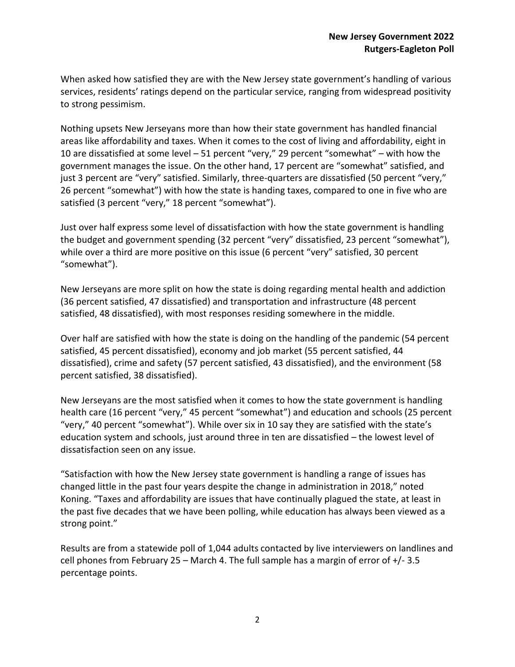When asked how satisfied they are with the New Jersey state government's handling of various services, residents' ratings depend on the particular service, ranging from widespread positivity to strong pessimism.

Nothing upsets New Jerseyans more than how their state government has handled financial areas like affordability and taxes. When it comes to the cost of living and affordability, eight in 10 are dissatisfied at some level – 51 percent "very," 29 percent "somewhat" – with how the government manages the issue. On the other hand, 17 percent are "somewhat" satisfied, and just 3 percent are "very" satisfied. Similarly, three-quarters are dissatisfied (50 percent "very," 26 percent "somewhat") with how the state is handing taxes, compared to one in five who are satisfied (3 percent "very," 18 percent "somewhat").

Just over half express some level of dissatisfaction with how the state government is handling the budget and government spending (32 percent "very" dissatisfied, 23 percent "somewhat"), while over a third are more positive on this issue (6 percent "very" satisfied, 30 percent "somewhat").

New Jerseyans are more split on how the state is doing regarding mental health and addiction (36 percent satisfied, 47 dissatisfied) and transportation and infrastructure (48 percent satisfied, 48 dissatisfied), with most responses residing somewhere in the middle.

Over half are satisfied with how the state is doing on the handling of the pandemic (54 percent satisfied, 45 percent dissatisfied), economy and job market (55 percent satisfied, 44 dissatisfied), crime and safety (57 percent satisfied, 43 dissatisfied), and the environment (58 percent satisfied, 38 dissatisfied).

New Jerseyans are the most satisfied when it comes to how the state government is handling health care (16 percent "very," 45 percent "somewhat") and education and schools (25 percent "very," 40 percent "somewhat"). While over six in 10 say they are satisfied with the state's education system and schools, just around three in ten are dissatisfied – the lowest level of dissatisfaction seen on any issue.

"Satisfaction with how the New Jersey state government is handling a range of issues has changed little in the past four years despite the change in administration in 2018," noted Koning. "Taxes and affordability are issues that have continually plagued the state, at least in the past five decades that we have been polling, while education has always been viewed as a strong point."

Results are from a statewide poll of 1,044 adults contacted by live interviewers on landlines and cell phones from February 25 – March 4. The full sample has a margin of error of  $+/-3.5$ percentage points.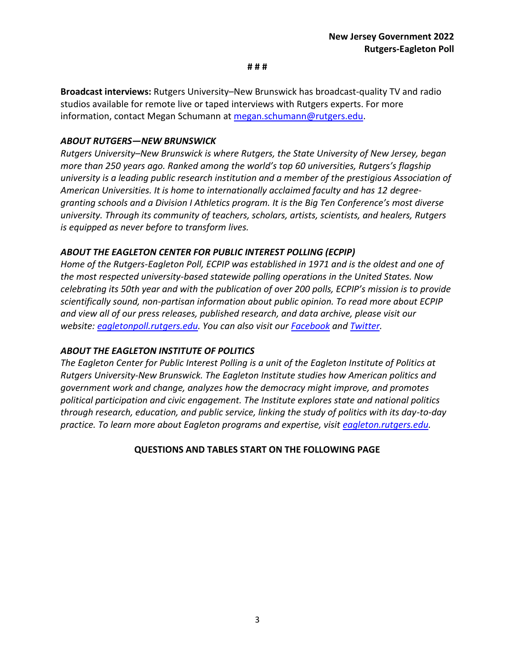#### **# # #**

**Broadcast interviews:** Rutgers University–New Brunswick has broadcast-quality TV and radio studios available for remote live or taped interviews with Rutgers experts. For more information, contact Megan Schumann at [megan.schumann@rutgers.edu.](mailto:megan.schumann@rutgers.edu)

## *ABOUT RUTGERS—NEW BRUNSWICK*

*Rutgers University–New Brunswick is where Rutgers, the State University of New Jersey, began more than 250 years ago. Ranked among the world's top 60 universities, Rutgers's flagship university is a leading public research institution and a member of the prestigious Association of American Universities. It is home to internationally acclaimed faculty and has 12 degreegranting schools and a Division I Athletics program. It is the Big Ten Conference's most diverse university. Through its community of teachers, scholars, artists, scientists, and healers, Rutgers is equipped as never before to transform lives.*

# *ABOUT THE EAGLETON CENTER FOR PUBLIC INTEREST POLLING (ECPIP)*

*Home of the Rutgers-Eagleton Poll, ECPIP was established in 1971 and is the oldest and one of the most respected university-based statewide polling operations in the United States. Now celebrating its 50th year and with the publication of over 200 polls, ECPIP's mission is to provide scientifically sound, non-partisan information about public opinion. To read more about ECPIP and view all of our press releases, published research, and data archive, please visit our website: [eagletonpoll.rutgers.edu.](http://eagletonpoll.rutgers.edu/) You can also visit our [Facebook](https://www.facebook.com/RutgersEagletonPoll/) and [Twitter.](https://twitter.com/eagletonpoll)*

## *ABOUT THE EAGLETON INSTITUTE OF POLITICS*

*The Eagleton Center for Public Interest Polling is a unit of the Eagleton Institute of Politics at Rutgers University-New Brunswick. The Eagleton Institute studies how American politics and government work and change, analyzes how the democracy might improve, and promotes political participation and civic engagement. The Institute explores state and national politics through research, education, and public service, linking the study of politics with its day-to-day practice. To learn more about Eagleton programs and expertise, visit [eagleton.rutgers.edu.](http://eagleton.rutgers.edu/)*

## **QUESTIONS AND TABLES START ON THE FOLLOWING PAGE**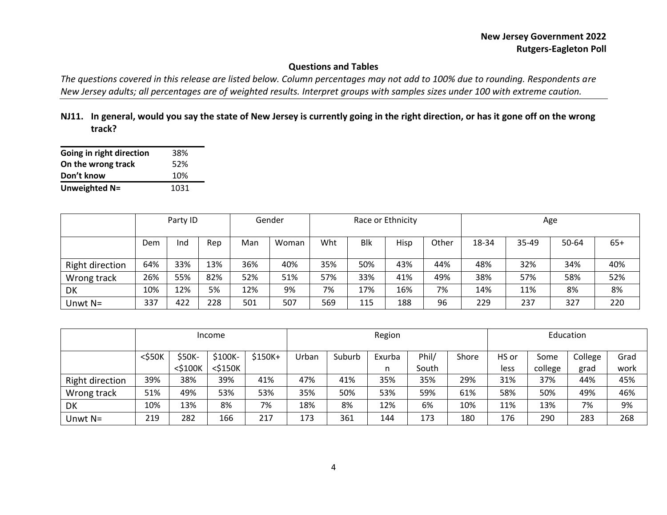# **Questions and Tables**

*The questions covered in this release are listed below. Column percentages may not add to 100% due to rounding. Respondents are New Jersey adults; all percentages are of weighted results. Interpret groups with samples sizes under 100 with extreme caution.*

**NJ11. In general, would you say the state of New Jersey is currently going in the right direction, or has it gone off on the wrong track?**

| Going in right direction | 38%  |
|--------------------------|------|
| On the wrong track       | 52%  |
| Don't know               | 10%  |
| Unweighted N=            | 1031 |

|                 |     | Party ID |     |     | Gender | Race or Ethnicity |            |      | Age   |       |       |       |     |
|-----------------|-----|----------|-----|-----|--------|-------------------|------------|------|-------|-------|-------|-------|-----|
|                 | Dem | Ind      | Rep | Man | Woman  | Wht               | <b>Blk</b> | Hisp | Other | 18-34 | 35-49 | 50-64 | 65+ |
| Right direction | 64% | 33%      | 13% | 36% | 40%    | 35%               | 50%        | 43%  | 44%   | 48%   | 32%   | 34%   | 40% |
| Wrong track     | 26% | 55%      | 82% | 52% | 51%    | 57%               | 33%        | 41%  | 49%   | 38%   | 57%   | 58%   | 52% |
| DK              | 10% | 12%      | 5%  | 12% | 9%     | 7%                | 17%        | 16%  | 7%    | 14%   | 11%   | 8%    | 8%  |
| Unwt $N=$       | 337 | 422      | 228 | 501 | 507    | 569               | 115        | 188  | 96    | 229   | 237   | 327   | 220 |

|                 | Income       |               |            |          | Region |        |        |       | Education |       |         |         |      |
|-----------------|--------------|---------------|------------|----------|--------|--------|--------|-------|-----------|-------|---------|---------|------|
|                 | $<$ \$50 $K$ | \$50K-        | \$100K-    | $$150K+$ | Urban  | Suburb | Exurba | Phil/ | Shore     | HS or | Some    | College | Grad |
|                 |              | $<$ \$100 $<$ | $<$ \$150K |          |        |        | n      | South |           | less  | college | grad    | work |
| Right direction | 39%          | 38%           | 39%        | 41%      | 47%    | 41%    | 35%    | 35%   | 29%       | 31%   | 37%     | 44%     | 45%  |
| Wrong track     | 51%          | 49%           | 53%        | 53%      | 35%    | 50%    | 53%    | 59%   | 61%       | 58%   | 50%     | 49%     | 46%  |
| DK              | 10%          | 13%           | 8%         | 7%       | 18%    | 8%     | 12%    | 6%    | 10%       | 11%   | 13%     | 7%      | 9%   |
| Unwt $N=$       | 219          | 282           | 166        | 217      | 173    | 361    | 144    | 173   | 180       | 176   | 290     | 283     | 268  |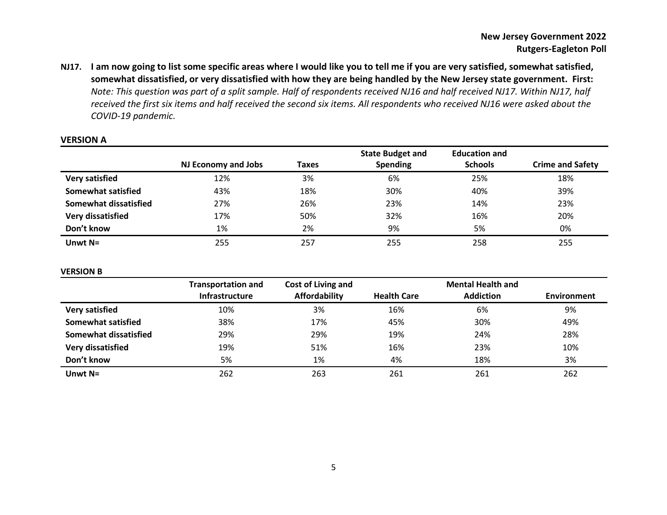**NJ17. I am now going to list some specific areas where I would like you to tell me if you are very satisfied, somewhat satisfied, somewhat dissatisfied, or very dissatisfied with how they are being handled by the New Jersey state government. First:** *Note: This question was part of a split sample. Half of respondents received NJ16 and half received NJ17. Within NJ17, half received the first six items and half received the second six items. All respondents who received NJ16 were asked about the COVID-19 pandemic.*

|                           |                            |       | <b>State Budget and</b> | <b>Education and</b> |                         |
|---------------------------|----------------------------|-------|-------------------------|----------------------|-------------------------|
|                           | <b>NJ Economy and Jobs</b> | Taxes | <b>Spending</b>         | <b>Schools</b>       | <b>Crime and Safety</b> |
| <b>Very satisfied</b>     | 12%                        | 3%    | 6%                      | 25%                  | 18%                     |
| <b>Somewhat satisfied</b> | 43%                        | 18%   | 30%                     | 40%                  | 39%                     |
| Somewhat dissatisfied     | 27%                        | 26%   | 23%                     | 14%                  | 23%                     |
| Very dissatisfied         | 17%                        | 50%   | 32%                     | 16%                  | 20%                     |
| Don't know                | 1%                         | 2%    | 9%                      | 5%                   | 0%                      |
| Unwt $N=$                 | 255                        | 257   | 255                     | 258                  | 255                     |

#### **VERSION A**

#### **VERSION B**

|                           | <b>Transportation and</b> | Cost of Living and   |                    | <b>Mental Health and</b> |                    |
|---------------------------|---------------------------|----------------------|--------------------|--------------------------|--------------------|
|                           | <b>Infrastructure</b>     | <b>Affordability</b> | <b>Health Care</b> | <b>Addiction</b>         | <b>Environment</b> |
| Very satisfied            | 10%                       | 3%                   | 16%                | 6%                       | 9%                 |
| <b>Somewhat satisfied</b> | 38%                       | 17%                  | 45%                | 30%                      | 49%                |
| Somewhat dissatisfied     | 29%                       | 29%                  | 19%                | 24%                      | 28%                |
| Very dissatisfied         | 19%                       | 51%                  | 16%                | 23%                      | 10%                |
| Don't know                | 5%                        | 1%                   | 4%                 | 18%                      | 3%                 |
| Unwt $N=$                 | 262                       | 263                  | 261                | 261                      | 262                |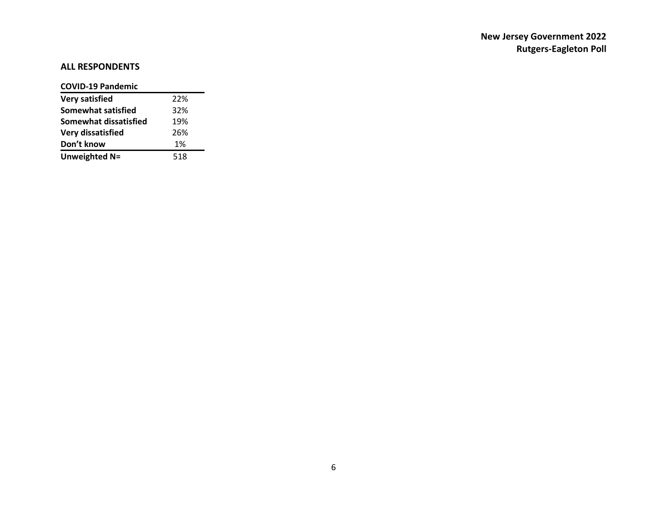# **ALL RESPONDENTS**

## **COVID-19 Pandemic**

| Very satisfied            | 22% |
|---------------------------|-----|
| <b>Somewhat satisfied</b> | 32% |
| Somewhat dissatisfied     | 19% |
| <b>Very dissatisfied</b>  | 26% |
| Don't know                | 1%  |
| Unweighted N=             | 518 |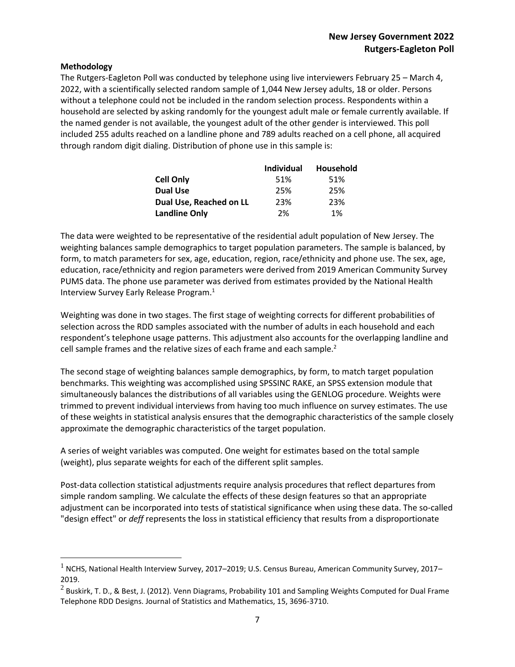## **Methodology**

 $\overline{a}$ 

The Rutgers-Eagleton Poll was conducted by telephone using live interviewers February 25 – March 4, 2022, with a scientifically selected random sample of 1,044 New Jersey adults, 18 or older. Persons without a telephone could not be included in the random selection process. Respondents within a household are selected by asking randomly for the youngest adult male or female currently available. If the named gender is not available, the youngest adult of the other gender is interviewed. This poll included 255 adults reached on a landline phone and 789 adults reached on a cell phone, all acquired through random digit dialing. Distribution of phone use in this sample is:

|                         | <b>Individual</b> | Household |
|-------------------------|-------------------|-----------|
| <b>Cell Only</b>        | 51%               | 51%       |
| <b>Dual Use</b>         | 25%               | 25%       |
| Dual Use, Reached on LL | 23%               | 23%       |
| <b>Landline Only</b>    | 2%                | 1%        |

The data were weighted to be representative of the residential adult population of New Jersey. The weighting balances sample demographics to target population parameters. The sample is balanced, by form, to match parameters for sex, age, education, region, race/ethnicity and phone use. The sex, age, education, race/ethnicity and region parameters were derived from 2019 American Community Survey PUMS data. The phone use parameter was derived from estimates provided by the National Health Interview Survey Early Release Program.<sup>1</sup>

Weighting was done in two stages. The first stage of weighting corrects for different probabilities of selection across the RDD samples associated with the number of adults in each household and each respondent's telephone usage patterns. This adjustment also accounts for the overlapping landline and cell sample frames and the relative sizes of each frame and each sample. $2$ 

The second stage of weighting balances sample demographics, by form, to match target population benchmarks. This weighting was accomplished using SPSSINC RAKE, an SPSS extension module that simultaneously balances the distributions of all variables using the GENLOG procedure. Weights were trimmed to prevent individual interviews from having too much influence on survey estimates. The use of these weights in statistical analysis ensures that the demographic characteristics of the sample closely approximate the demographic characteristics of the target population.

A series of weight variables was computed. One weight for estimates based on the total sample (weight), plus separate weights for each of the different split samples.

Post-data collection statistical adjustments require analysis procedures that reflect departures from simple random sampling. We calculate the effects of these design features so that an appropriate adjustment can be incorporated into tests of statistical significance when using these data. The so-called "design effect" or *deff* represents the loss in statistical efficiency that results from a disproportionate

 $1$  NCHS, National Health Interview Survey, 2017–2019; U.S. Census Bureau, American Community Survey, 2017– 2019.

 $^2$  Buskirk, T. D., & Best, J. (2012). Venn Diagrams, Probability 101 and Sampling Weights Computed for Dual Frame Telephone RDD Designs. Journal of Statistics and Mathematics, 15, 3696-3710.